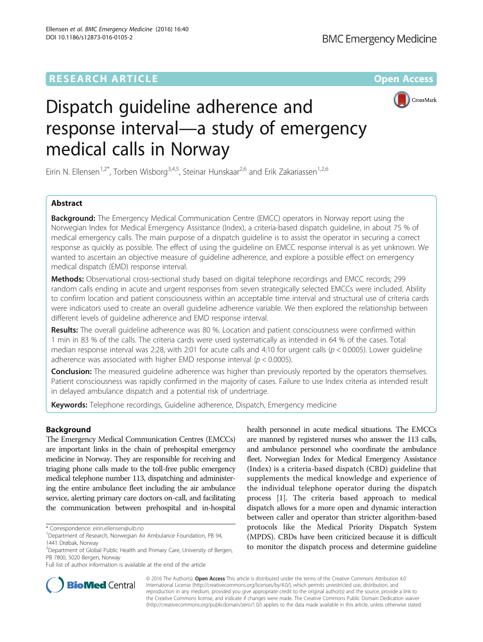## **RESEARCH ARTICLE External Structure Community Community Community Community Community Community Community Community**



# Dispatch guideline adherence and response interval—a study of emergency medical calls in Norway

Eirin N. Ellensen<sup>1,2\*</sup>, Torben Wisborg<sup>3,4,5</sup>, Steinar Hunskaar<sup>2,6</sup> and Erik Zakariassen<sup>1,2,6</sup>

## Abstract

**Background:** The Emergency Medical Communication Centre (EMCC) operators in Norway report using the Norwegian Index for Medical Emergency Assistance (Index), a criteria-based dispatch guideline, in about 75 % of medical emergency calls. The main purpose of a dispatch guideline is to assist the operator in securing a correct response as quickly as possible. The effect of using the guideline on EMCC response interval is as yet unknown. We wanted to ascertain an objective measure of guideline adherence, and explore a possible effect on emergency medical dispatch (EMD) response interval.

Methods: Observational cross-sectional study based on digital telephone recordings and EMCC records; 299 random calls ending in acute and urgent responses from seven strategically selected EMCCs were included. Ability to confirm location and patient consciousness within an acceptable time interval and structural use of criteria cards were indicators used to create an overall guideline adherence variable. We then explored the relationship between different levels of guideline adherence and EMD response interval.

Results: The overall quideline adherence was 80 %. Location and patient consciousness were confirmed within 1 min in 83 % of the calls. The criteria cards were used systematically as intended in 64 % of the cases. Total median response interval was 2:28, with 2:01 for acute calls and 4:10 for urgent calls ( $p < 0.0005$ ). Lower guideline adherence was associated with higher EMD response interval ( $p < 0.0005$ ).

**Conclusion:** The measured quideline adherence was higher than previously reported by the operators themselves. Patient consciousness was rapidly confirmed in the majority of cases. Failure to use Index criteria as intended result in delayed ambulance dispatch and a potential risk of undertriage.

Keywords: Telephone recordings, Guideline adherence, Dispatch, Emergency medicine

## Background

The Emergency Medical Communication Centres (EMCCs) are important links in the chain of prehospital emergency medicine in Norway. They are responsible for receiving and triaging phone calls made to the toll-free public emergency medical telephone number 113, dispatching and administering the entire ambulance fleet including the air ambulance service, alerting primary care doctors on-call, and facilitating the communication between prehospital and in-hospital

health personnel in acute medical situations. The EMCCs are manned by registered nurses who answer the 113 calls, and ambulance personnel who coordinate the ambulance fleet. Norwegian Index for Medical Emergency Assistance (Index) is a criteria-based dispatch (CBD) guideline that supplements the medical knowledge and experience of the individual telephone operator during the dispatch process [\[1](#page-5-0)]. The criteria based approach to medical dispatch allows for a more open and dynamic interaction between caller and operator than stricter algorithm-based protocols like the Medical Priority Dispatch System (MPDS). CBDs have been criticized because it is difficult to monitor the dispatch process and determine guideline



© 2016 The Author(s). Open Access This article is distributed under the terms of the Creative Commons Attribution 4.0 International License [\(http://creativecommons.org/licenses/by/4.0/](http://creativecommons.org/licenses/by/4.0/)), which permits unrestricted use, distribution, and reproduction in any medium, provided you give appropriate credit to the original author(s) and the source, provide a link to the Creative Commons license, and indicate if changes were made. The Creative Commons Public Domain Dedication waiver [\(http://creativecommons.org/publicdomain/zero/1.0/](http://creativecommons.org/publicdomain/zero/1.0/)) applies to the data made available in this article, unless otherwise stated.

<sup>\*</sup> Correspondence: [eirin.ellensen@uib.no](mailto:eirin.ellensen@uib.no) <sup>1</sup>

<sup>&</sup>lt;sup>1</sup>Department of Research, Norwegian Air Ambulance Foundation, PB 94, 1441 Drøbak, Norway

<sup>&</sup>lt;sup>2</sup>Department of Global Public Health and Primary Care, University of Bergen, PB 7800, 5020 Bergen, Norway

Full list of author information is available at the end of the article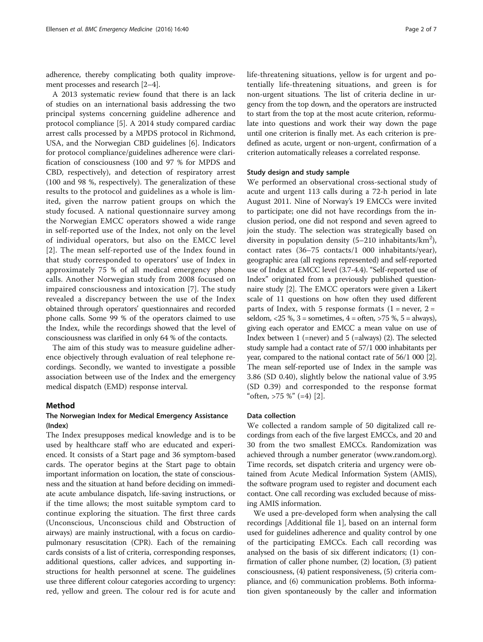adherence, thereby complicating both quality improvement processes and research [\[2](#page-5-0)–[4](#page-6-0)].

A 2013 systematic review found that there is an lack of studies on an international basis addressing the two principal systems concerning guideline adherence and protocol compliance [[5\]](#page-6-0). A 2014 study compared cardiac arrest calls processed by a MPDS protocol in Richmond, USA, and the Norwegian CBD guidelines [[6\]](#page-6-0). Indicators for protocol compliance/guidelines adherence were clarification of consciousness (100 and 97 % for MPDS and CBD, respectively), and detection of respiratory arrest (100 and 98 %, respectively). The generalization of these results to the protocol and guidelines as a whole is limited, given the narrow patient groups on which the study focused. A national questionnaire survey among the Norwegian EMCC operators showed a wide range in self-reported use of the Index, not only on the level of individual operators, but also on the EMCC level [[2](#page-5-0)]. The mean self-reported use of the Index found in that study corresponded to operators' use of Index in approximately 75 % of all medical emergency phone calls. Another Norwegian study from 2008 focused on impaired consciousness and intoxication [[7\]](#page-6-0). The study revealed a discrepancy between the use of the Index obtained through operators' questionnaires and recorded phone calls. Some 99 % of the operators claimed to use the Index, while the recordings showed that the level of consciousness was clarified in only 64 % of the contacts.

The aim of this study was to measure guideline adherence objectively through evaluation of real telephone recordings. Secondly, we wanted to investigate a possible association between use of the Index and the emergency medical dispatch (EMD) response interval.

## Method

## The Norwegian Index for Medical Emergency Assistance (Index)

The Index presupposes medical knowledge and is to be used by healthcare staff who are educated and experienced. It consists of a Start page and 36 symptom-based cards. The operator begins at the Start page to obtain important information on location, the state of consciousness and the situation at hand before deciding on immediate acute ambulance dispatch, life-saving instructions, or if the time allows; the most suitable symptom card to continue exploring the situation. The first three cards (Unconscious, Unconscious child and Obstruction of airways) are mainly instructional, with a focus on cardiopulmonary resuscitation (CPR). Each of the remaining cards consists of a list of criteria, corresponding responses, additional questions, caller advices, and supporting instructions for health personnel at scene. The guidelines use three different colour categories according to urgency: red, yellow and green. The colour red is for acute and life-threatening situations, yellow is for urgent and potentially life-threatening situations, and green is for non-urgent situations. The list of criteria decline in urgency from the top down, and the operators are instructed to start from the top at the most acute criterion, reformulate into questions and work their way down the page until one criterion is finally met. As each criterion is predefined as acute, urgent or non-urgent, confirmation of a criterion automatically releases a correlated response.

### Study design and study sample

We performed an observational cross-sectional study of acute and urgent 113 calls during a 72-h period in late August 2011. Nine of Norway's 19 EMCCs were invited to participate; one did not have recordings from the inclusion period, one did not respond and seven agreed to join the study. The selection was strategically based on diversity in population density  $(5-210 \text{ inhabitants/km}^2)$ , contact rates (36–75 contacts/1 000 inhabitants/year), geographic area (all regions represented) and self-reported use of Index at EMCC level (3.7-4.4). "Self-reported use of Index" originated from a previously published questionnaire study [[2\]](#page-5-0). The EMCC operators were given a Likert scale of 11 questions on how often they used different parts of Index, with 5 response formats  $(1 = never, 2 = 1)$ seldom, <25 %, 3 = sometimes, 4 = often, >75 %, 5 = always), giving each operator and EMCC a mean value on use of Index between 1 (=never) and 5 (=always) (2). The selected study sample had a contact rate of 57/1 000 inhabitants per year, compared to the national contact rate of 56/1 000 [[2](#page-5-0)]. The mean self-reported use of Index in the sample was 3.86 (SD 0.40), slightly below the national value of 3.95 (SD 0.39) and corresponded to the response format "often,  $>75$  %" (=4) [\[2](#page-5-0)].

## Data collection

We collected a random sample of 50 digitalized call recordings from each of the five largest EMCCs, and 20 and 30 from the two smallest EMCCs. Randomization was achieved through a number generator [\(www.random.org](http://www.random.org)). Time records, set dispatch criteria and urgency were obtained from Acute Medical Information System (AMIS), the software program used to register and document each contact. One call recording was excluded because of missing AMIS information.

We used a pre-developed form when analysing the call recordings [Additional file [1\]](#page-5-0), based on an internal form used for guidelines adherence and quality control by one of the participating EMCCs. Each call recording was analysed on the basis of six different indicators; (1) confirmation of caller phone number, (2) location, (3) patient consciousness, (4) patient responsiveness, (5) criteria compliance, and (6) communication problems. Both information given spontaneously by the caller and information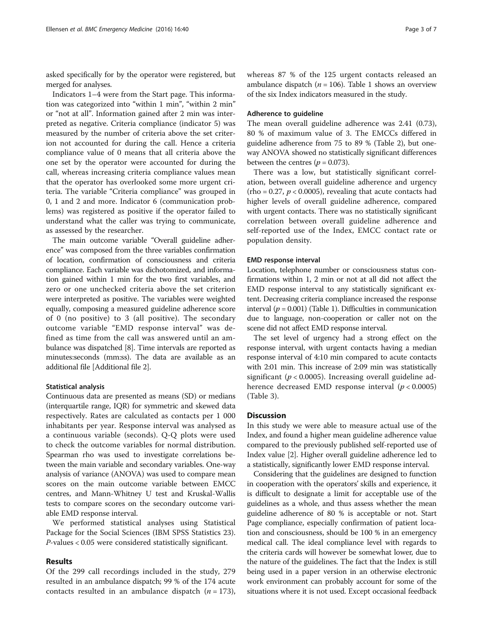asked specifically for by the operator were registered, but merged for analyses.

Indicators 1–4 were from the Start page. This information was categorized into "within 1 min", "within 2 min" or "not at all". Information gained after 2 min was interpreted as negative. Criteria compliance (indicator 5) was measured by the number of criteria above the set criterion not accounted for during the call. Hence a criteria compliance value of 0 means that all criteria above the one set by the operator were accounted for during the call, whereas increasing criteria compliance values mean that the operator has overlooked some more urgent criteria. The variable "Criteria compliance" was grouped in 0, 1 and 2 and more. Indicator 6 (communication problems) was registered as positive if the operator failed to understand what the caller was trying to communicate, as assessed by the researcher.

The main outcome variable "Overall guideline adherence" was composed from the three variables confirmation of location, confirmation of consciousness and criteria compliance. Each variable was dichotomized, and information gained within 1 min for the two first variables, and zero or one unchecked criteria above the set criterion were interpreted as positive. The variables were weighted equally, composing a measured guideline adherence score of 0 (no positive) to 3 (all positive). The secondary outcome variable "EMD response interval" was defined as time from the call was answered until an ambulance was dispatched [[8\]](#page-6-0). Time intervals are reported as minutes:seconds (mm:ss). The data are available as an additional file [Additional file [2](#page-5-0)].

## Statistical analysis

Continuous data are presented as means (SD) or medians (interquartile range, IQR) for symmetric and skewed data respectively. Rates are calculated as contacts per 1 000 inhabitants per year. Response interval was analysed as a continuous variable (seconds). Q-Q plots were used to check the outcome variables for normal distribution. Spearman rho was used to investigate correlations between the main variable and secondary variables. One-way analysis of variance (ANOVA) was used to compare mean scores on the main outcome variable between EMCC centres, and Mann-Whitney U test and Kruskal-Wallis tests to compare scores on the secondary outcome variable EMD response interval.

We performed statistical analyses using Statistical Package for the Social Sciences (IBM SPSS Statistics 23). P-values < 0.05 were considered statistically significant.

## Results

Of the 299 call recordings included in the study, 279 resulted in an ambulance dispatch; 99 % of the 174 acute contacts resulted in an ambulance dispatch  $(n = 173)$ , whereas 87 % of the 125 urgent contacts released an ambulance dispatch ( $n = 106$  $n = 106$  $n = 106$ ). Table 1 shows an overview of the six Index indicators measured in the study.

## Adherence to guideline

The mean overall guideline adherence was 2.41 (0.73), 80 % of maximum value of 3. The EMCCs differed in guideline adherence from 75 to 89 % (Table [2\)](#page-3-0), but oneway ANOVA showed no statistically significant differences between the centres ( $p = 0.073$ ).

There was a low, but statistically significant correlation, between overall guideline adherence and urgency  $(rho = 0.27, p < 0.0005)$ , revealing that acute contacts had higher levels of overall guideline adherence, compared with urgent contacts. There was no statistically significant correlation between overall guideline adherence and self-reported use of the Index, EMCC contact rate or population density.

## EMD response interval

Location, telephone number or consciousness status confirmations within 1, 2 min or not at all did not affect the EMD response interval to any statistically significant extent. Decreasing criteria compliance increased the response interval ( $p = 0.001$ ) (Table [1](#page-3-0)). Difficulties in communication due to language, non-cooperation or caller not on the scene did not affect EMD response interval.

The set level of urgency had a strong effect on the response interval, with urgent contacts having a median response interval of 4:10 min compared to acute contacts with 2:01 min. This increase of 2:09 min was statistically significant ( $p < 0.0005$ ). Increasing overall guideline adherence decreased EMD response interval  $(p < 0.0005)$ (Table [3\)](#page-4-0).

## **Discussion**

In this study we were able to measure actual use of the Index, and found a higher mean guideline adherence value compared to the previously published self-reported use of Index value [[2](#page-5-0)]. Higher overall guideline adherence led to a statistically, significantly lower EMD response interval.

Considering that the guidelines are designed to function in cooperation with the operators' skills and experience, it is difficult to designate a limit for acceptable use of the guidelines as a whole, and thus assess whether the mean guideline adherence of 80 % is acceptable or not. Start Page compliance, especially confirmation of patient location and consciousness, should be 100 % in an emergency medical call. The ideal compliance level with regards to the criteria cards will however be somewhat lower, due to the nature of the guidelines. The fact that the Index is still being used in a paper version in an otherwise electronic work environment can probably account for some of the situations where it is not used. Except occasional feedback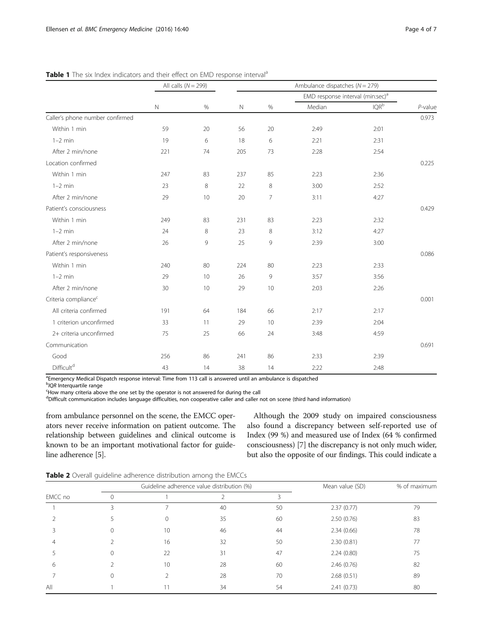|                                  | All calls $(N = 299)$ |      | Ambulance dispatches ( $N = 279$ ) |    |                                              |         |            |
|----------------------------------|-----------------------|------|------------------------------------|----|----------------------------------------------|---------|------------|
|                                  |                       |      |                                    |    | EMD response interval (min:sec) <sup>a</sup> |         |            |
|                                  | $\mathbb N$           | $\%$ | $\mathbb N$                        | %  | Median                                       | $IQR^b$ | $P$ -value |
| Caller's phone number confirmed  |                       |      |                                    |    |                                              |         | 0.973      |
| Within 1 min                     | 59                    | 20   | 56                                 | 20 | 2:49                                         | 2:01    |            |
| $1-2$ min                        | 19                    | 6    | 18                                 | 6  | 2:21                                         | 2:31    |            |
| After 2 min/none                 | 221                   | 74   | 205                                | 73 | 2:28                                         | 2:54    |            |
| Location confirmed               |                       |      |                                    |    |                                              |         | 0.225      |
| Within 1 min                     | 247                   | 83   | 237                                | 85 | 2:23                                         | 2:36    |            |
| $1-2$ min                        | 23                    | 8    | 22                                 | 8  | 3:00                                         | 2:52    |            |
| After 2 min/none                 | 29                    | 10   | 20                                 | 7  | 3:11                                         | 4:27    |            |
| Patient's consciousness          |                       |      |                                    |    |                                              |         | 0.429      |
| Within 1 min                     | 249                   | 83   | 231                                | 83 | 2:23                                         | 2:32    |            |
| $1-2$ min                        | 24                    | 8    | 23                                 | 8  | 3:12                                         | 4:27    |            |
| After 2 min/none                 | 26                    | 9    | 25                                 | 9  | 2:39                                         | 3:00    |            |
| Patient's responsiveness         |                       |      |                                    |    |                                              |         | 0.086      |
| Within 1 min                     | 240                   | 80   | 224                                | 80 | 2:23                                         | 2:33    |            |
| $1-2$ min                        | 29                    | 10   | 26                                 | 9  | 3:57                                         | 3:56    |            |
| After 2 min/none                 | 30                    | 10   | 29                                 | 10 | 2:03                                         | 2:26    |            |
| Criteria compliance <sup>c</sup> |                       |      |                                    |    |                                              |         | 0.001      |
| All criteria confirmed           | 191                   | 64   | 184                                | 66 | 2:17                                         | 2:17    |            |
| 1 criterion unconfirmed          | 33                    | 11   | 29                                 | 10 | 2:39                                         | 2:04    |            |
| 2+ criteria unconfirmed          | 75                    | 25   | 66                                 | 24 | 3:48                                         | 4:59    |            |
| Communication                    |                       |      |                                    |    |                                              |         | 0.691      |
| Good                             | 256                   | 86   | 241                                | 86 | 2:33                                         | 2:39    |            |
| Difficultd                       | 43                    | 14   | 38                                 | 14 | 2:22                                         | 2:48    |            |

<span id="page-3-0"></span>Table 1 The six Index indicators and their effect on EMD response interval<sup>a</sup>

<sup>a</sup>Emergency Medical Dispatch response interval: Time from 113 call is answered until an ambulance is dispatched

*b*<br>CHOW many criteria abo

How many criteria above the one set by the operator is not answered for during the call

<sup>d</sup>Difficult communication includes language difficulties, non cooperative caller and caller not on scene (third hand information)

from ambulance personnel on the scene, the EMCC operators never receive information on patient outcome. The relationship between guidelines and clinical outcome is known to be an important motivational factor for guideline adherence [\[5](#page-6-0)].

Although the 2009 study on impaired consciousness also found a discrepancy between self-reported use of Index (99 %) and measured use of Index (64 % confirmed consciousness) [[7](#page-6-0)] the discrepancy is not only much wider, but also the opposite of our findings. This could indicate a

Table 2 Overall quideline adherence distribution among the EMCCs

| EMCC no |          | Guideline adherence value distribution (%) | Mean value (SD) | % of maximum |            |    |
|---------|----------|--------------------------------------------|-----------------|--------------|------------|----|
|         | $\cap$   |                                            |                 |              |            |    |
|         |          |                                            | 40              | 50           | 2.37(0.77) | 79 |
|         |          | 0                                          | 35              | 60           | 2.50(0.76) | 83 |
|         | 0        | 10                                         | 46              | 44           | 2.34(0.66) | 78 |
|         |          | 16                                         | 32              | 50           | 2.30(0.81) | 77 |
|         | $\Omega$ | 22                                         | 31              | 47           | 2.24(0.80) | 75 |
| 6       |          | 10                                         | 28              | 60           | 2.46(0.76) | 82 |
|         | $\Omega$ |                                            | 28              | 70           | 2.68(0.51) | 89 |
| All     |          |                                            | 34              | 54           | 2.41(0.73) | 80 |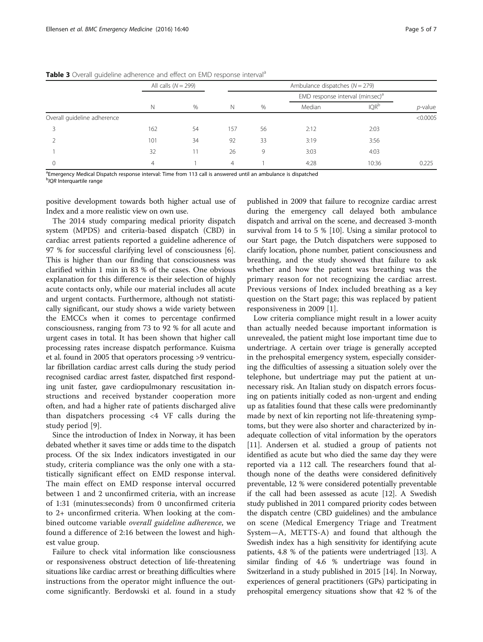|                             |                | All calls $(N = 299)$ |                | Ambulance dispatches $(N = 279)$ |                                              |                  |            |  |  |
|-----------------------------|----------------|-----------------------|----------------|----------------------------------|----------------------------------------------|------------------|------------|--|--|
|                             |                | $\%$                  | N              | $\%$                             | EMD response interval (min:sec) <sup>a</sup> |                  |            |  |  |
|                             | N              |                       |                |                                  | Median                                       | IQR <sup>b</sup> | $p$ -value |  |  |
| Overall guideline adherence |                |                       |                |                                  |                                              |                  | < 0.0005   |  |  |
|                             | 162            | 54                    | 157            | 56                               | 2:12                                         | 2:03             |            |  |  |
|                             | 101            | 34                    | 92             | 33                               | 3:19                                         | 3:56             |            |  |  |
|                             | 32             | 11                    | 26             | 9                                | 3:03                                         | 4:03             |            |  |  |
| $\Omega$                    | $\overline{4}$ |                       | $\overline{4}$ |                                  | 4:28                                         | 10:36            | 0.225      |  |  |

<span id="page-4-0"></span>Table 3 Overall quideline adherence and effect on EMD response interval<sup>a</sup>

<sup>a</sup>Emergency Medical Dispatch response interval: Time from 113 call is answered until an ambulance is dispatched

<sup>b</sup>IQR Interquartile range

positive development towards both higher actual use of Index and a more realistic view on own use.

The 2014 study comparing medical priority dispatch system (MPDS) and criteria-based dispatch (CBD) in cardiac arrest patients reported a guideline adherence of 97 % for successful clarifying level of consciousness [\[6](#page-6-0)]. This is higher than our finding that consciousness was clarified within 1 min in 83 % of the cases. One obvious explanation for this difference is their selection of highly acute contacts only, while our material includes all acute and urgent contacts. Furthermore, although not statistically significant, our study shows a wide variety between the EMCCs when it comes to percentage confirmed consciousness, ranging from 73 to 92 % for all acute and urgent cases in total. It has been shown that higher call processing rates increase dispatch performance. Kuisma et al. found in 2005 that operators processing >9 ventricular fibrillation cardiac arrest calls during the study period recognised cardiac arrest faster, dispatched first responding unit faster, gave cardiopulmonary rescusitation instructions and received bystander cooperation more often, and had a higher rate of patients discharged alive than dispatchers processing <4 VF calls during the study period [[9\]](#page-6-0).

Since the introduction of Index in Norway, it has been debated whether it saves time or adds time to the dispatch process. Of the six Index indicators investigated in our study, criteria compliance was the only one with a statistically significant effect on EMD response interval. The main effect on EMD response interval occurred between 1 and 2 unconfirmed criteria, with an increase of 1:31 (minutes:seconds) from 0 unconfirmed criteria to 2+ unconfirmed criteria. When looking at the combined outcome variable overall guideline adherence, we found a difference of 2:16 between the lowest and highest value group.

Failure to check vital information like consciousness or responsiveness obstruct detection of life-threatening situations like cardiac arrest or breathing difficulties where instructions from the operator might influence the outcome significantly. Berdowski et al. found in a study published in 2009 that failure to recognize cardiac arrest during the emergency call delayed both ambulance dispatch and arrival on the scene, and decreased 3-month survival from 14 to 5 % [\[10\]](#page-6-0). Using a similar protocol to our Start page, the Dutch dispatchers were supposed to clarify location, phone number, patient consciousness and breathing, and the study showed that failure to ask whether and how the patient was breathing was the primary reason for not recognizing the cardiac arrest. Previous versions of Index included breathing as a key question on the Start page; this was replaced by patient responsiveness in 2009 [\[1](#page-5-0)].

Low criteria compliance might result in a lower acuity than actually needed because important information is unrevealed, the patient might lose important time due to undertriage. A certain over triage is generally accepted in the prehospital emergency system, especially considering the difficulties of assessing a situation solely over the telephone, but undertriage may put the patient at unnecessary risk. An Italian study on dispatch errors focusing on patients initially coded as non-urgent and ending up as fatalities found that these calls were predominantly made by next of kin reporting not life-threatening symptoms, but they were also shorter and characterized by inadequate collection of vital information by the operators [[11\]](#page-6-0). Andersen et al. studied a group of patients not identified as acute but who died the same day they were reported via a 112 call. The researchers found that although none of the deaths were considered definitively preventable, 12 % were considered potentially preventable if the call had been assessed as acute [\[12](#page-6-0)]. A Swedish study published in 2011 compared priority codes between the dispatch centre (CBD guidelines) and the ambulance on scene (Medical Emergency Triage and Treatment System—A, METTS-A) and found that although the Swedish index has a high sensitivity for identifying acute patients, 4.8 % of the patients were undertriaged [\[13\]](#page-6-0). A similar finding of 4.6 % undertriage was found in Switzerland in a study published in 2015 [[14](#page-6-0)]. In Norway, experiences of general practitioners (GPs) participating in prehospital emergency situations show that 42 % of the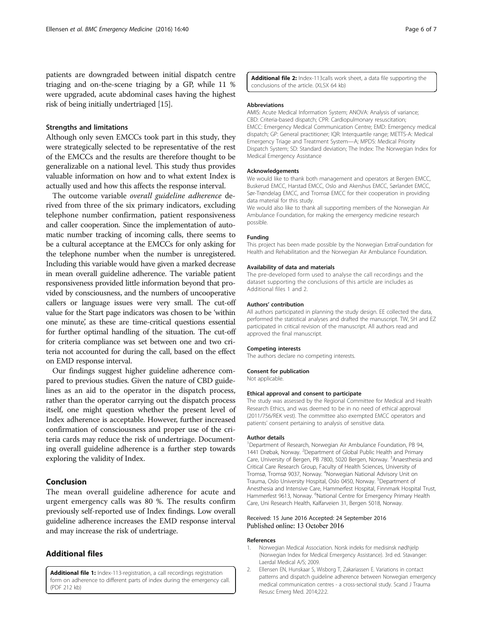<span id="page-5-0"></span>patients are downgraded between initial dispatch centre triaging and on-the-scene triaging by a GP, while 11 % were upgraded, acute abdominal cases having the highest risk of being initially undertriaged [[15](#page-6-0)].

## Strengths and limitations

Although only seven EMCCs took part in this study, they were strategically selected to be representative of the rest of the EMCCs and the results are therefore thought to be generalizable on a national level. This study thus provides valuable information on how and to what extent Index is actually used and how this affects the response interval.

The outcome variable overall guideline adherence derived from three of the six primary indicators, excluding telephone number confirmation, patient responsiveness and caller cooperation. Since the implementation of automatic number tracking of incoming calls, there seems to be a cultural acceptance at the EMCCs for only asking for the telephone number when the number is unregistered. Including this variable would have given a marked decrease in mean overall guideline adherence. The variable patient responsiveness provided little information beyond that provided by consciousness, and the numbers of uncooperative callers or language issues were very small. The cut-off value for the Start page indicators was chosen to be 'within one minute, as these are time-critical questions essential for further optimal handling of the situation. The cut-off for criteria compliance was set between one and two criteria not accounted for during the call, based on the effect on EMD response interval.

Our findings suggest higher guideline adherence compared to previous studies. Given the nature of CBD guidelines as an aid to the operator in the dispatch process, rather than the operator carrying out the dispatch process itself, one might question whether the present level of Index adherence is acceptable. However, further increased confirmation of consciousness and proper use of the criteria cards may reduce the risk of undertriage. Documenting overall guideline adherence is a further step towards exploring the validity of Index.

## Conclusion

The mean overall guideline adherence for acute and urgent emergency calls was 80 %. The results confirm previously self-reported use of Index findings. Low overall guideline adherence increases the EMD response interval and may increase the risk of undertriage.

## Additional files

[Additional file 1:](dx.doi.org/10.1186/s12873-016-0105-2) Index-113-registration, a call recordings registration form on adherence to different parts of index during the emergency call. (PDF 212 kb)

[Additional file 2:](dx.doi.org/10.1186/s12873-016-0105-2) Index-113 calls work sheet, a data file supporting the conclusions of the article. (XLSX 64 kb)

#### Abbreviations

AMIS: Acute Medical Information System; ANOVA: Analysis of variance; CBD: Criteria-based dispatch; CPR: Cardiopulmonary resuscitation; EMCC: Emergency Medical Communication Centre; EMD: Emergency medical dispatch; GP: General practitioner; IQR: Interquartile range; METTS-A: Medical Emergency Triage and Treatment System—A; MPDS: Medical Priority Dispatch System; SD: Standard deviation; The Index: The Norwegian Index for Medical Emergency Assistance

#### Acknowledgements

We would like to thank both management and operators at Bergen EMCC, Buskerud EMCC, Harstad EMCC, Oslo and Akershus EMCC, Sørlandet EMCC, Sør-Trøndelag EMCC, and Tromsø EMCC for their cooperation in providing data material for this study.

We would also like to thank all supporting members of the Norwegian Air Ambulance Foundation, for making the emergency medicine research possible.

#### Funding

This project has been made possible by the Norwegian ExtraFoundation for Health and Rehabilitation and the Norwegian Air Ambulance Foundation.

#### Availability of data and materials

The pre-developed form used to analyse the call recordings and the dataset supporting the conclusions of this article are includes as Additional files 1 and 2.

#### Authors' contribution

All authors participated in planning the study design. EE collected the data, performed the statistical analyses and drafted the manuscript. TW, SH and EZ participated in critical revision of the manuscript. All authors read and approved the final manuscript.

#### Competing interests

The authors declare no competing interests.

## Consent for publication

Not applicable.

#### Ethical approval and consent to participate

The study was assessed by the Regional Committee for Medical and Health Research Ethics, and was deemed to be in no need of ethical approval (2011/756/REK vest). The committee also exempted EMCC operators and patients' consent pertaining to analysis of sensitive data.

### Author details

<sup>1</sup>Department of Research, Norwegian Air Ambulance Foundation, PB 94, 1441 Drøbak, Norway. <sup>2</sup> Department of Global Public Health and Primary Care, University of Bergen, PB 7800, 5020 Bergen, Norway. <sup>3</sup>Anaesthesia and Critical Care Research Group, Faculty of Health Sciences, University of Tromsø, Tromsø 9037, Norway. <sup>4</sup>Norwegian National Advisory Unit on Trauma, Oslo University Hospital, Oslo 0450, Norway. <sup>5</sup>Department of Anesthesia and Intensive Care, Hammerfest Hospital, Finnmark Hospital Trust, Hammerfest 9613, Norway. <sup>6</sup>National Centre for Emergency Primary Health Care, Uni Research Health, Kalfarveien 31, Bergen 5018, Norway.

## Received: 15 June 2016 Accepted: 24 September 2016 Published online: 13 October 2016

#### References

- 1. Norwegian Medical Association. Norsk indeks for medisinsk nødhjelp (Norwegian Index for Medical Emergency Assistance). 3rd ed. Stavanger: Laerdal Medical A/S; 2009.
- 2. Ellensen EN, Hunskaar S, Wisborg T, Zakariassen E. Variations in contact patterns and dispatch guideline adherence between Norwegian emergency medical communication centres - a cross-sectional study. Scand J Trauma Resusc Emerg Med. 2014;22:2.